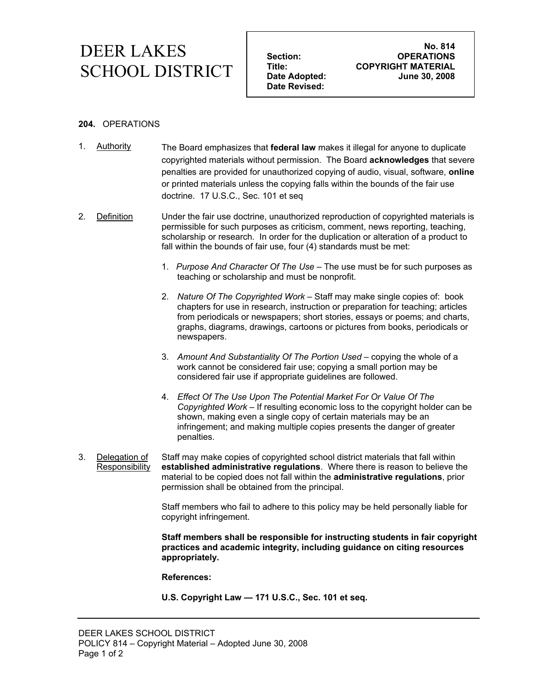## **DEER LAKES** Section: No. 814 **COPYRIGHT MATERIAL THE: COPYRIGHT MATERIAL SCHOOL DISTRICT** Title: COPYRIGHT MATERIAL<br>
Date Adopted: June 30, 2008

 **Date Revised:** 

**Section:** OPERATIONS<br>
Title: COPYRIGHT MATERIAL

## **204.** OPERATIONS

- 1. Authority The Board emphasizes that **federal law** makes it illegal for anyone to duplicate copyrighted materials without permission. The Board **acknowledges** that severe penalties are provided for unauthorized copying of audio, visual, software, **online** or printed materials unless the copying falls within the bounds of the fair use doctrine. 17 U.S.C., Sec. 101 et seq
- 2. Definition Under the fair use doctrine, unauthorized reproduction of copyrighted materials is permissible for such purposes as criticism, comment, news reporting, teaching, scholarship or research. In order for the duplication or alteration of a product to fall within the bounds of fair use, four (4) standards must be met:
	- 1. *Purpose And Character Of The Use* The use must be for such purposes as teaching or scholarship and must be nonprofit.
	- 2. *Nature Of The Copyrighted Work* Staff may make single copies of: book chapters for use in research, instruction or preparation for teaching; articles from periodicals or newspapers; short stories, essays or poems; and charts, graphs, diagrams, drawings, cartoons or pictures from books, periodicals or newspapers.
	- 3. *Amount And Substantiality Of The Portion Used* copying the whole of a work cannot be considered fair use; copying a small portion may be considered fair use if appropriate guidelines are followed.
	- 4. *Effect Of The Use Upon The Potential Market For Or Value Of The Copyrighted Work* – If resulting economic loss to the copyright holder can be shown, making even a single copy of certain materials may be an infringement; and making multiple copies presents the danger of greater penalties.
- 3. Delegation of Responsibility Staff may make copies of copyrighted school district materials that fall within **established administrative regulations**. Where there is reason to believe the material to be copied does not fall within the **administrative regulations**, prior permission shall be obtained from the principal.

Staff members who fail to adhere to this policy may be held personally liable for copyright infringement.

**Staff members shall be responsible for instructing students in fair copyright practices and academic integrity, including guidance on citing resources appropriately.** 

**References:** 

**U.S. Copyright Law — 171 U.S.C., Sec. 101 et seq.**